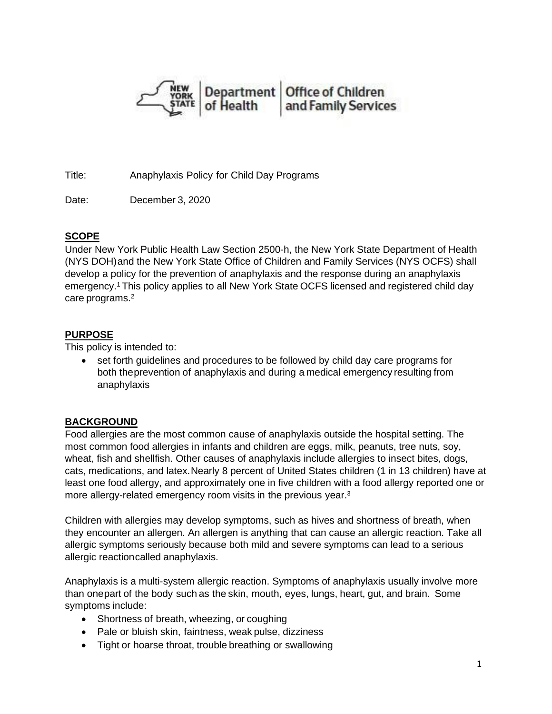

Title: Anaphylaxis Policy for Child Day Programs

Date: December 3, 2020

## **SCOPE**

Under New York Public Health Law Section 2500-h, the New York State Department of Health (NYS DOH)and the New York State Office of Children and Family Services (NYS OCFS) shall develop a policy for the prevention of anaphylaxis and the response during an anaphylaxis emergency.1 This policy applies to all New York State OCFS licensed and registered child day care programs.<sup>2</sup>

## **PURPOSE**

This policy is intended to:

• set forth guidelines and procedures to be followed by child day care programs for both theprevention of anaphylaxis and during a medical emergency resulting from anaphylaxis

# **BACKGROUND**

Food allergies are the most common cause of anaphylaxis outside the hospital setting. The most common food allergies in infants and children are eggs, milk, peanuts, tree nuts, soy, wheat, fish and shellfish. Other causes of anaphylaxis include allergies to insect bites, dogs, cats, medications, and latex.Nearly 8 percent of United States children (1 in 13 children) have at least one food allergy, and approximately one in five children with a food allergy reported one or more allergy-related emergency room visits in the previous year.<sup>3</sup>

Children with allergies may develop symptoms, such as hives and shortness of breath, when they encounter an allergen. An allergen is anything that can cause an allergic reaction. Take all allergic symptoms seriously because both mild and severe symptoms can lead to a serious allergic reactioncalled anaphylaxis.

Anaphylaxis is a multi-system allergic reaction. Symptoms of anaphylaxis usually involve more than onepart of the body such as the skin, mouth, eyes, lungs, heart, gut, and brain. Some symptoms include:

- Shortness of breath, wheezing, or coughing
- Pale or bluish skin, faintness, weak pulse, dizziness
- Tight or hoarse throat, trouble breathing or swallowing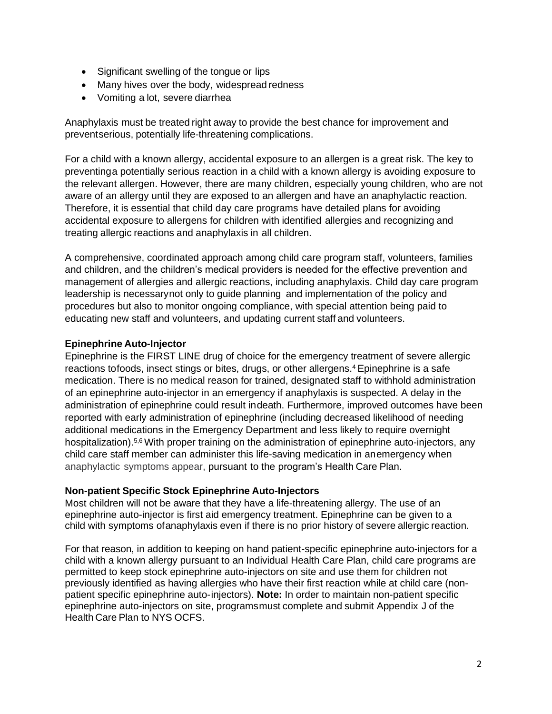- Significant swelling of the tongue or lips
- Many hives over the body, widespread redness
- Vomiting a lot, severe diarrhea

Anaphylaxis must be treated right away to provide the best chance for improvement and preventserious, potentially life-threatening complications.

For a child with a known allergy, accidental exposure to an allergen is a great risk. The key to preventinga potentially serious reaction in a child with a known allergy is avoiding exposure to the relevant allergen. However, there are many children, especially young children, who are not aware of an allergy until they are exposed to an allergen and have an anaphylactic reaction. Therefore, it is essential that child day care programs have detailed plans for avoiding accidental exposure to allergens for children with identified allergies and recognizing and treating allergic reactions and anaphylaxis in all children.

A comprehensive, coordinated approach among child care program staff, volunteers, families and children, and the children's medical providers is needed for the effective prevention and management of allergies and allergic reactions, including anaphylaxis. Child day care program leadership is necessarynot only to guide planning and implementation of the policy and procedures but also to monitor ongoing compliance, with special attention being paid to educating new staff and volunteers, and updating current staff and volunteers.

#### **Epinephrine Auto-Injector**

Epinephrine is the FIRST LINE drug of choice for the emergency treatment of severe allergic reactions tofoods, insect stings or bites, drugs, or other allergens.4 Epinephrine is a safe medication. There is no medical reason for trained, designated staff to withhold administration of an epinephrine auto-injector in an emergency if anaphylaxis is suspected. A delay in the administration of epinephrine could result indeath. Furthermore, improved outcomes have been reported with early administration of epinephrine (including decreased likelihood of needing additional medications in the Emergency Department and less likely to require overnight hospitalization).<sup>5,6</sup> With proper training on the administration of epinephrine auto-injectors, any child care staff member can administer this life-saving medication in anemergency when anaphylactic symptoms appear, pursuant to the program's Health Care Plan.

#### **Non-patient Specific Stock Epinephrine Auto-Injectors**

Most children will not be aware that they have a life-threatening allergy. The use of an epinephrine auto-injector is first aid emergency treatment. Epinephrine can be given to a child with symptoms ofanaphylaxis even if there is no prior history of severe allergic reaction.

For that reason, in addition to keeping on hand patient-specific epinephrine auto-injectors for a child with a known allergy pursuant to an Individual Health Care Plan, child care programs are permitted to keep stock epinephrine auto-injectors on site and use them for children not previously identified as having allergies who have their first reaction while at child care (nonpatient specific epinephrine auto-injectors). **Note:** In order to maintain non-patient specific epinephrine auto-injectors on site, programsmust complete and submit Appendix J of the Health Care Plan to NYS OCFS.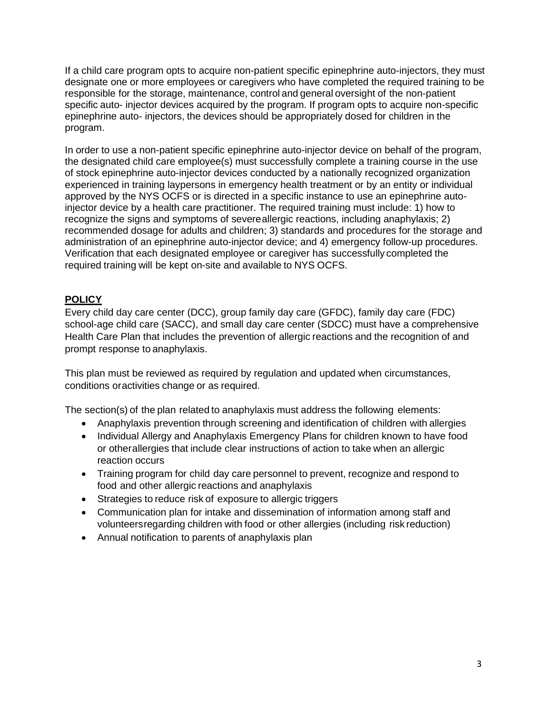If a child care program opts to acquire non-patient specific epinephrine auto-injectors, they must designate one or more employees or caregivers who have completed the required training to be responsible for the storage, maintenance, control and general oversight of the non-patient specific auto- injector devices acquired by the program. If program opts to acquire non-specific epinephrine auto- injectors, the devices should be appropriately dosed for children in the program.

In order to use a non-patient specific epinephrine auto-injector device on behalf of the program, the designated child care employee(s) must successfully complete a training course in the use of stock epinephrine auto-injector devices conducted by a nationally recognized organization experienced in training laypersons in emergency health treatment or by an entity or individual approved by the NYS OCFS or is directed in a specific instance to use an epinephrine autoinjector device by a health care practitioner. The required training must include: 1) how to recognize the signs and symptoms of severeallergic reactions, including anaphylaxis; 2) recommended dosage for adults and children; 3) standards and procedures for the storage and administration of an epinephrine auto-injector device; and 4) emergency follow-up procedures. Verification that each designated employee or caregiver has successfully completed the required training will be kept on-site and available to NYS OCFS.

## **POLICY**

Every child day care center (DCC), group family day care (GFDC), family day care (FDC) school-age child care (SACC), and small day care center (SDCC) must have a comprehensive Health Care Plan that includes the prevention of allergic reactions and the recognition of and prompt response to anaphylaxis.

This plan must be reviewed as required by regulation and updated when circumstances, conditions oractivities change or as required.

The section(s) of the plan related to anaphylaxis must address the following elements:

- Anaphylaxis prevention through screening and identification of children with allergies
- Individual Allergy and Anaphylaxis Emergency Plans for children known to have food or otherallergies that include clear instructions of action to take when an allergic reaction occurs
- Training program for child day care personnel to prevent, recognize and respond to food and other allergic reactions and anaphylaxis
- Strategies to reduce risk of exposure to allergic triggers
- Communication plan for intake and dissemination of information among staff and volunteersregarding children with food or other allergies (including risk reduction)
- Annual notification to parents of anaphylaxis plan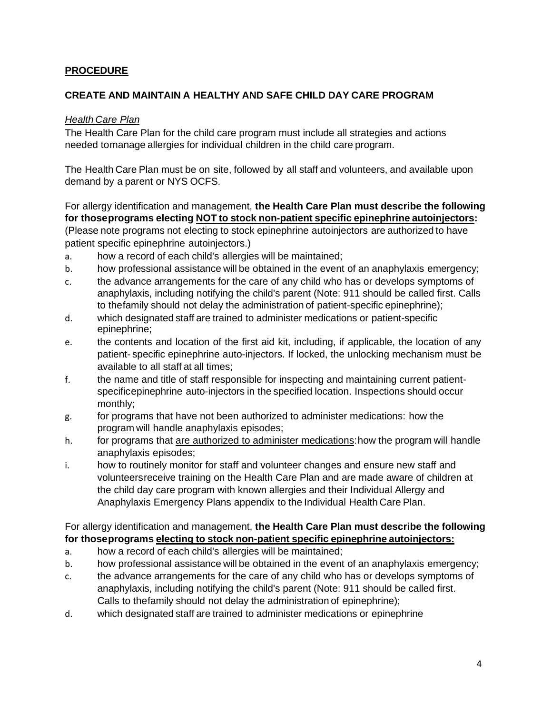## **PROCEDURE**

### **CREATE AND MAINTAIN A HEALTHY AND SAFE CHILD DAY CARE PROGRAM**

#### *Health Care Plan*

The Health Care Plan for the child care program must include all strategies and actions needed tomanage allergies for individual children in the child care program.

The Health Care Plan must be on site, followed by all staff and volunteers, and available upon demand by a parent or NYS OCFS.

For allergy identification and management, **the Health Care Plan must describe the following for thoseprograms electing NOT to stock non-patient specific epinephrine autoinjectors:** (Please note programs not electing to stock epinephrine autoinjectors are authorized to have

patient specific epinephrine autoinjectors.)

- a. how a record of each child's allergies will be maintained;
- b. how professional assistance will be obtained in the event of an anaphylaxis emergency;
- c. the advance arrangements for the care of any child who has or develops symptoms of anaphylaxis, including notifying the child's parent (Note: 911 should be called first. Calls to thefamily should not delay the administration of patient-specific epinephrine);
- d. which designated staff are trained to administer medications or patient-specific epinephrine;
- e. the contents and location of the first aid kit, including, if applicable, the location of any patient- specific epinephrine auto-injectors. If locked, the unlocking mechanism must be available to all staff at all times;
- f. the name and title of staff responsible for inspecting and maintaining current patientspecificepinephrine auto-injectors in the specified location. Inspections should occur monthly;
- g. for programs that have not been authorized to administer medications: how the program will handle anaphylaxis episodes;
- h. for programs that are authorized to administer medications: how the program will handle anaphylaxis episodes;
- i. how to routinely monitor for staff and volunteer changes and ensure new staff and volunteersreceive training on the Health Care Plan and are made aware of children at the child day care program with known allergies and their Individual Allergy and Anaphylaxis Emergency Plans appendix to the Individual Health Care Plan.

### For allergy identification and management, **the Health Care Plan must describe the following for thoseprograms electing to stock non-patient specific epinephrine autoinjectors:**

- a. how a record of each child's allergies will be maintained;
- b. how professional assistance will be obtained in the event of an anaphylaxis emergency;
- c. the advance arrangements for the care of any child who has or develops symptoms of anaphylaxis, including notifying the child's parent (Note: 911 should be called first. Calls to thefamily should not delay the administration of epinephrine);
- d. which designated staff are trained to administer medications or epinephrine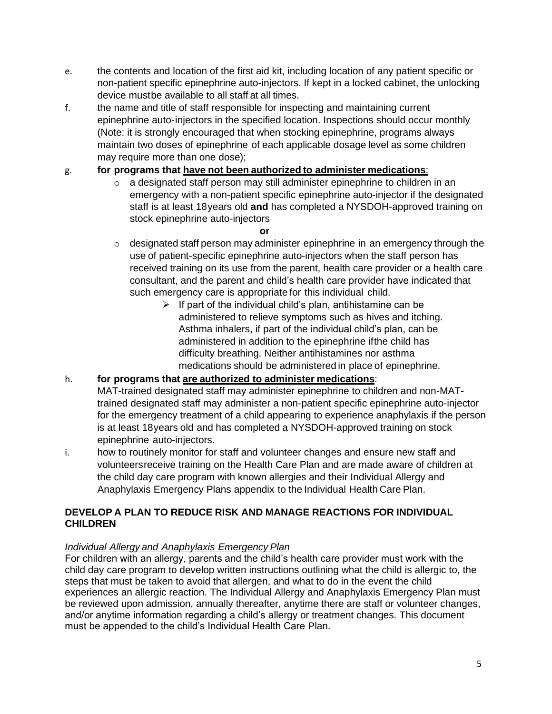- e. the contents and location of the first aid kit, including location of any patient specific or non-patient specific epinephrine auto-injectors. If kept in a locked cabinet, the unlocking device mustbe available to all staff at all times.
- f. the name and title of staff responsible for inspecting and maintaining current epinephrine auto-injectors in the specified location. Inspections should occur monthly (Note: it is strongly encouraged that when stocking epinephrine, programs always maintain two doses of epinephrine of each applicable dosage level as some children may require more than one dose);

# g. **for programs that have not been authorized to administer medications**:

o a designated staff person may still administer epinephrine to children in an emergency with a non-patient specific epinephrine auto-injector if the designated staff is at least 18years old **and** has completed a NYSDOH-approved training on stock epinephrine auto-injectors

#### **or**

- $\circ$  designated staff person may administer epinephrine in an emergency through the use of patient-specific epinephrine auto-injectors when the staff person has received training on its use from the parent, health care provider or a health care consultant, and the parent and child's health care provider have indicated that such emergency care is appropriate for this individual child.
	- $\triangleright$  If part of the individual child's plan, antihistamine can be administered to relieve symptoms such as hives and itching. Asthma inhalers, if part of the individual child's plan, can be administered in addition to the epinephrine ifthe child has difficulty breathing. Neither antihistamines nor asthma medications should be administered in place of epinephrine.

## h. **for programs that are authorized to administer medications**:

- MAT-trained designated staff may administer epinephrine to children and non-MATtrained designated staff may administer a non-patient specific epinephrine auto-injector for the emergency treatment of a child appearing to experience anaphylaxis if the person is at least 18years old and has completed a NYSDOH-approved training on stock epinephrine auto-injectors.
- i. how to routinely monitor for staff and volunteer changes and ensure new staff and volunteersreceive training on the Health Care Plan and are made aware of children at the child day care program with known allergies and their Individual Allergy and Anaphylaxis Emergency Plans appendix to the Individual Health Care Plan.

### **DEVELOP A PLAN TO REDUCE RISK AND MANAGE REACTIONS FOR INDIVIDUAL CHILDREN**

## *Individual Allergy and Anaphylaxis Emergency Plan*

For children with an allergy, parents and the child's health care provider must work with the child day care program to develop written instructions outlining what the child is allergic to, the steps that must be taken to avoid that allergen, and what to do in the event the child experiences an allergic reaction. The Individual Allergy and Anaphylaxis Emergency Plan must be reviewed upon admission, annually thereafter, anytime there are staff or volunteer changes, and/or anytime information regarding a child's allergy or treatment changes. This document must be appended to the child's Individual Health Care Plan.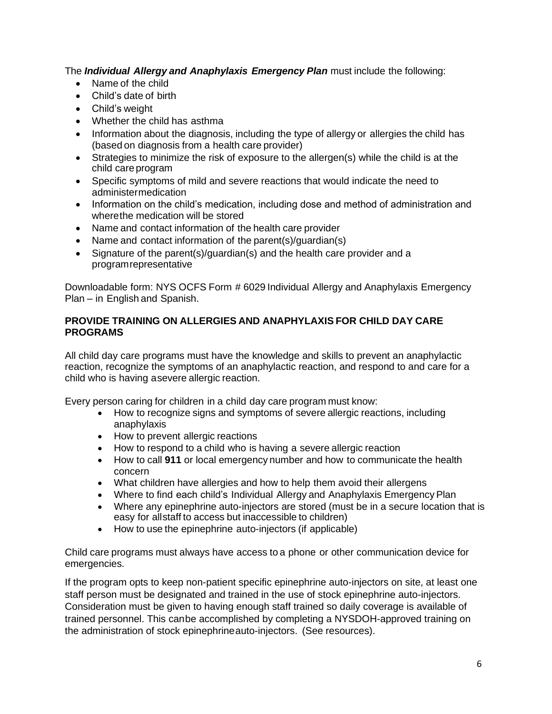The *Individual Allergy and Anaphylaxis Emergency Plan* must include the following:

- Name of the child
- Child's date of birth
- Child's weight
- Whether the child has asthma
- Information about the diagnosis, including the type of allergy or allergies the child has (based on diagnosis from a health care provider)
- Strategies to minimize the risk of exposure to the allergen(s) while the child is at the child careprogram
- Specific symptoms of mild and severe reactions that would indicate the need to administermedication
- Information on the child's medication, including dose and method of administration and wherethe medication will be stored
- Name and contact information of the health care provider
- Name and contact information of the parent(s)/guardian(s)
- Signature of the parent(s)/guardian(s) and the health care provider and a programrepresentative

Downloadable form: NYS OCFS Form # 6029 Individual Allergy and Anaphylaxis Emergency Plan – in English and Spanish.

### **PROVIDE TRAINING ON ALLERGIES AND ANAPHYLAXIS FOR CHILD DAY CARE PROGRAMS**

All child day care programs must have the knowledge and skills to prevent an anaphylactic reaction, recognize the symptoms of an anaphylactic reaction, and respond to and care for a child who is having asevere allergic reaction.

Every person caring for children in a child day care program must know:

- How to recognize signs and symptoms of severe allergic reactions, including anaphylaxis
- How to prevent allergic reactions
- How to respond to a child who is having a severe allergic reaction
- How to call **911** or local emergency number and how to communicate the health concern
- What children have allergies and how to help them avoid their allergens
- Where to find each child's Individual Allergy and Anaphylaxis Emergency Plan
- Where any epinephrine auto-injectors are stored (must be in a secure location that is easy for allstaff to access but inaccessible to children)
- How to use the epinephrine auto-injectors (if applicable)

Child care programs must always have access to a phone or other communication device for emergencies.

If the program opts to keep non-patient specific epinephrine auto-injectors on site, at least one staff person must be designated and trained in the use of stock epinephrine auto-injectors. Consideration must be given to having enough staff trained so daily coverage is available of trained personnel. This canbe accomplished by completing a NYSDOH-approved training on the administration of stock epinephrineauto-injectors. (See resources).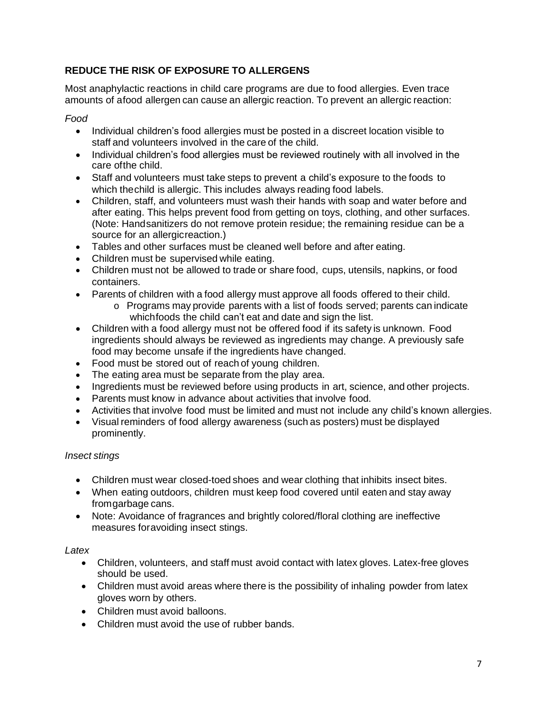## **REDUCE THE RISK OF EXPOSURE TO ALLERGENS**

Most anaphylactic reactions in child care programs are due to food allergies. Even trace amounts of afood allergen can cause an allergic reaction. To prevent an allergic reaction:

#### *Food*

- Individual children's food allergies must be posted in a discreet location visible to staff and volunteers involved in the care of the child.
- Individual children's food allergies must be reviewed routinely with all involved in the care ofthe child.
- Staff and volunteers must take steps to prevent a child's exposure to the foods to which thechild is allergic. This includes always reading food labels.
- Children, staff, and volunteers must wash their hands with soap and water before and after eating. This helps prevent food from getting on toys, clothing, and other surfaces. (Note: Handsanitizers do not remove protein residue; the remaining residue can be a source for an allergicreaction.)
- Tables and other surfaces must be cleaned well before and after eating.
- Children must be supervised while eating.
- Children must not be allowed to trade or share food, cups, utensils, napkins, or food containers.
- Parents of children with a food allergy must approve all foods offered to their child.
	- o Programs may provide parents with a list of foods served; parents can indicate whichfoods the child can't eat and date and sign the list.
- Children with a food allergy must not be offered food if its safety is unknown. Food ingredients should always be reviewed as ingredients may change. A previously safe food may become unsafe if the ingredients have changed.
- Food must be stored out of reach of young children.
- The eating area must be separate from the play area.
- Ingredients must be reviewed before using products in art, science, and other projects.
- Parents must know in advance about activities that involve food.
- Activities that involve food must be limited and must not include any child's known allergies.
- Visual reminders of food allergy awareness (such as posters) must be displayed prominently.

## *Insect stings*

- Children must wear closed-toed shoes and wear clothing that inhibits insect bites.
- When eating outdoors, children must keep food covered until eaten and stay away fromgarbage cans.
- Note: Avoidance of fragrances and brightly colored/floral clothing are ineffective measures foravoiding insect stings.

#### *Latex*

- Children, volunteers, and staff must avoid contact with latex gloves. Latex-free gloves should be used.
- Children must avoid areas where there is the possibility of inhaling powder from latex gloves worn by others.
- Children must avoid balloons.
- Children must avoid the use of rubber bands.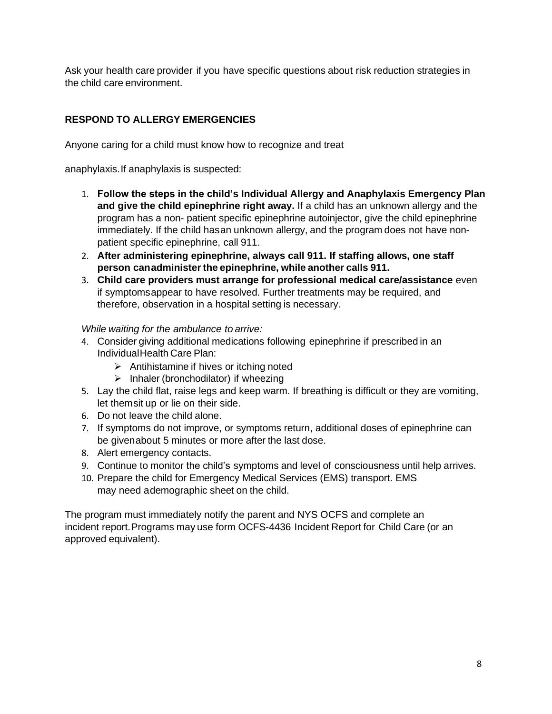Ask your health care provider if you have specific questions about risk reduction strategies in the child care environment.

# **RESPOND TO ALLERGY EMERGENCIES**

Anyone caring for a child must know how to recognize and treat

anaphylaxis.If anaphylaxis is suspected:

- 1. **Follow the steps in the child's Individual Allergy and Anaphylaxis Emergency Plan and give the child epinephrine right away.** If a child has an unknown allergy and the program has a non- patient specific epinephrine autoinjector, give the child epinephrine immediately. If the child hasan unknown allergy, and the program does not have nonpatient specific epinephrine, call 911.
- 2. **After administering epinephrine, always call 911. If staffing allows, one staff person canadministerthe epinephrine, while another calls 911.**
- 3. **Child care providers must arrange for professional medical care/assistance** even if symptomsappear to have resolved. Further treatments may be required, and therefore, observation in a hospital setting is necessary.

### *While waiting for the ambulance to arrive:*

- 4. Consider giving additional medications following epinephrine if prescribed in an IndividualHealth Care Plan:
	- ➢ Antihistamine if hives or itching noted
	- $\triangleright$  Inhaler (bronchodilator) if wheezing
- 5. Lay the child flat, raise legs and keep warm. If breathing is difficult or they are vomiting, let themsit up or lie on their side.
- 6. Do not leave the child alone.
- 7. If symptoms do not improve, or symptoms return, additional doses of epinephrine can be givenabout 5 minutes or more after the last dose.
- 8. Alert emergency contacts.
- 9. Continue to monitor the child's symptoms and level of consciousness until help arrives.
- 10. Prepare the child for Emergency Medical Services (EMS) transport. EMS may need ademographic sheet on the child.

The program must immediately notify the parent and NYS OCFS and complete an incident report.Programs may use form OCFS-4436 Incident Report for Child Care (or an approved equivalent).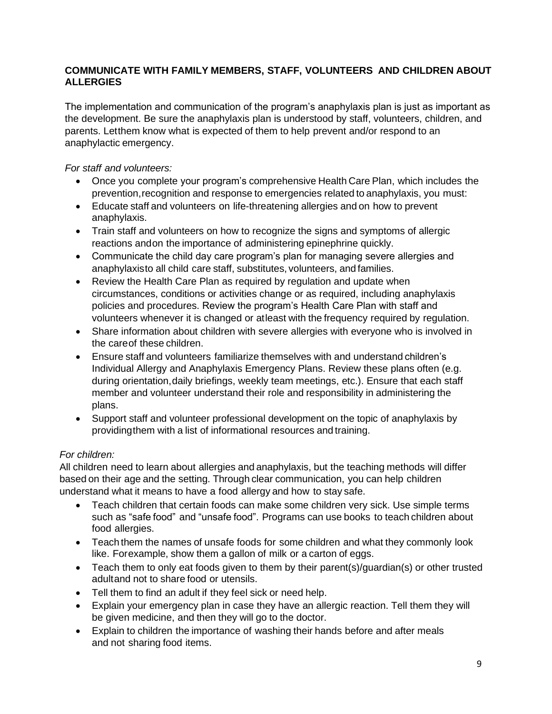### **COMMUNICATE WITH FAMILY MEMBERS, STAFF, VOLUNTEERS AND CHILDREN ABOUT ALLERGIES**

The implementation and communication of the program's anaphylaxis plan is just as important as the development. Be sure the anaphylaxis plan is understood by staff, volunteers, children, and parents. Letthem know what is expected of them to help prevent and/or respond to an anaphylactic emergency.

*For staff and volunteers:*

- Once you complete your program's comprehensive Health Care Plan, which includes the prevention,recognition and response to emergencies related to anaphylaxis, you must:
- Educate staff and volunteers on life-threatening allergies and on how to prevent anaphylaxis.
- Train staff and volunteers on how to recognize the signs and symptoms of allergic reactions andon the importance of administering epinephrine quickly.
- Communicate the child day care program's plan for managing severe allergies and anaphylaxisto all child care staff, substitutes, volunteers, and families.
- Review the Health Care Plan as required by regulation and update when circumstances, conditions or activities change or as required, including anaphylaxis policies and procedures. Review the program's Health Care Plan with staff and volunteers whenever it is changed or atleast with the frequency required by regulation.
- Share information about children with severe allergies with everyone who is involved in the careof these children.
- Ensure staff and volunteers familiarize themselves with and understand children's Individual Allergy and Anaphylaxis Emergency Plans. Review these plans often (e.g. during orientation,daily briefings, weekly team meetings, etc.). Ensure that each staff member and volunteer understand their role and responsibility in administering the plans.
- Support staff and volunteer professional development on the topic of anaphylaxis by providingthem with a list of informational resources and training.

## *For children:*

All children need to learn about allergies and anaphylaxis, but the teaching methods will differ based on their age and the setting. Through clear communication, you can help children understand what it means to have a food allergy and how to stay safe.

- Teach children that certain foods can make some children very sick. Use simple terms such as "safe food" and "unsafe food". Programs can use books to teach children about food allergies.
- Teach them the names of unsafe foods for some children and what they commonly look like. Forexample, show them a gallon of milk or a carton of eggs.
- Teach them to only eat foods given to them by their parent(s)/guardian(s) or other trusted adultand not to share food or utensils.
- Tell them to find an adult if they feel sick or need help.
- Explain your emergency plan in case they have an allergic reaction. Tell them they will be given medicine, and then they will go to the doctor.
- Explain to children the importance of washing their hands before and after meals and not sharing food items.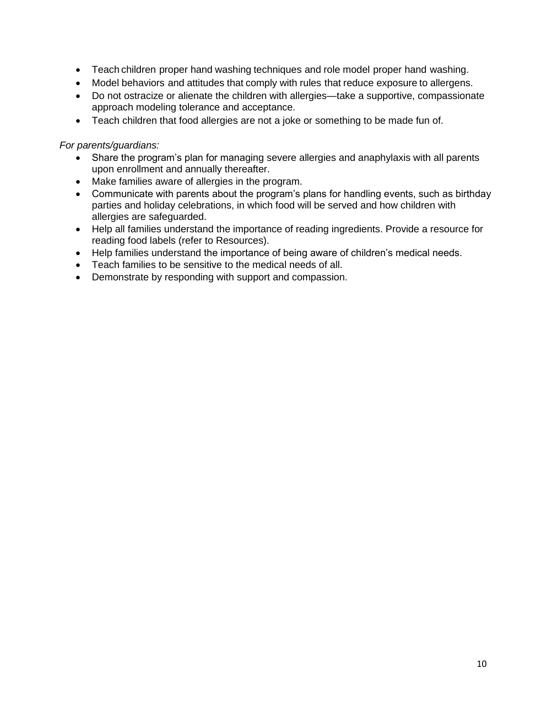- Teach children proper hand washing techniques and role model proper hand washing.
- Model behaviors and attitudes that comply with rules that reduce exposure to allergens.
- Do not ostracize or alienate the children with allergies—take a supportive, compassionate approach modeling tolerance and acceptance.
- Teach children that food allergies are not a joke or something to be made fun of.

#### *For parents/guardians:*

- Share the program's plan for managing severe allergies and anaphylaxis with all parents upon enrollment and annually thereafter.
- Make families aware of allergies in the program.
- Communicate with parents about the program's plans for handling events, such as birthday parties and holiday celebrations, in which food will be served and how children with allergies are safeguarded.
- Help all families understand the importance of reading ingredients. Provide a resource for reading food labels (refer to Resources).
- Help families understand the importance of being aware of children's medical needs.
- Teach families to be sensitive to the medical needs of all.
- Demonstrate by responding with support and compassion.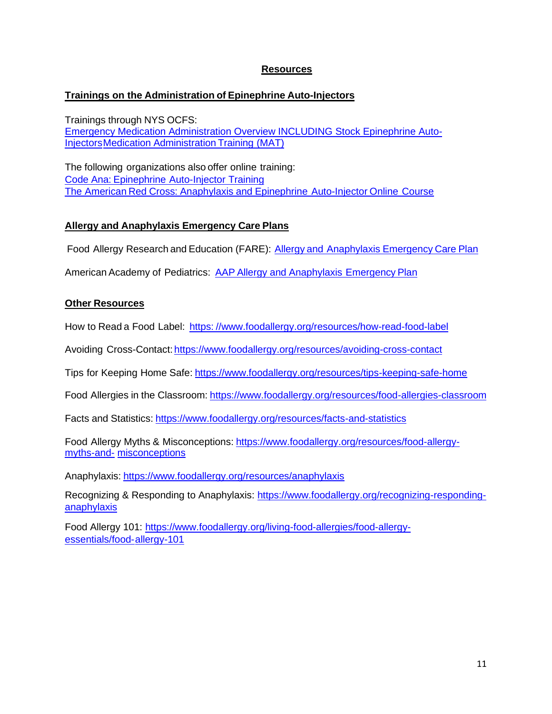#### **Resources**

#### **Trainings on the Administration of Epinephrine Auto-Injectors**

Trainings through NYS OCFS: Emergency Medication Administration Overview INCLUDING Stock Epinephrine Auto-**Injectors Medication Administration Training (MAT)** 

The following organizations also offer online training: Code Ana: Epinephrine Auto-Injector Training The American Red Cross: Anaphylaxis and Epinephrine Auto-Injector Online Course

#### **Allergy and Anaphylaxis Emergency Care Plans**

Food Allergy Research and Education (FARE): Allergy and Anaphylaxis Emergency Care Plan

American Academy of Pediatrics: AAP Allergy and Anaphylaxis Emergency Plan

#### **Other Resources**

How to Read a Food Label: https: //www.foodallergy.org/resources/how-read-food-label

Avoiding Cross-Contact: https://www.foodallergy.org/resources/avoiding-cross-contact

Tips for Keeping Home Safe: https://www.foodallergy.org/resources/tips-keeping-safe-home

Food Allergies in the Classroom: https://www.foodallergy.org/resources/food-allergies-classroom

Facts and Statistics: https://www.foodallergy.org/resources/facts-and-statistics

Food Allergy Myths & Misconceptions: https://www.foodallergy.org/resources/food-allergymyths-and- misconceptions

Anaphylaxis: https://www.foodallergy.org/resources/anaphylaxis

Recognizing & Responding to Anaphylaxis: https://www.foodallergy.org/recognizing-respondinganaphylaxis

Food Allergy 101: https://www.foodallergy.org/living-food-allergies/food-allergyessentials/food-allergy-101